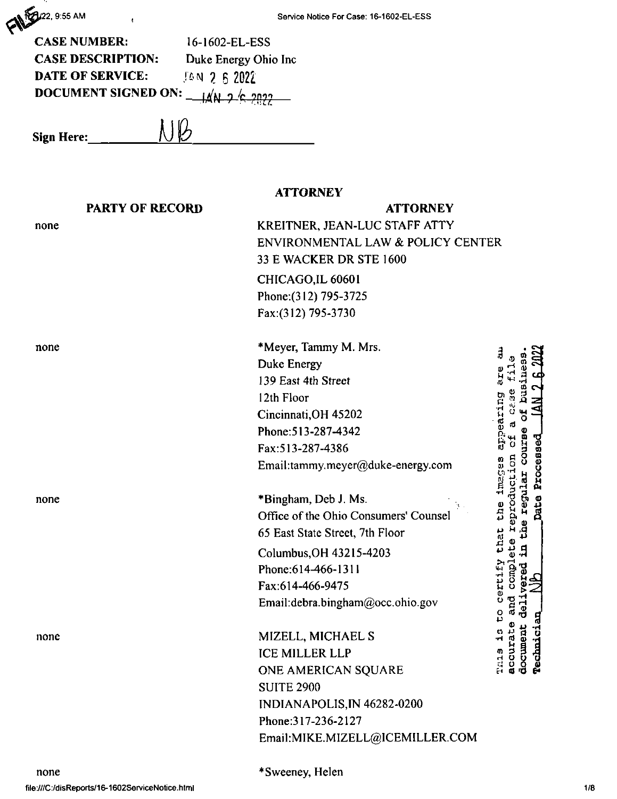CANES 22, 9:55 AM

| <b>CASE NUMBER:</b>                                                             | 16-1602-EL-ESS       |
|---------------------------------------------------------------------------------|----------------------|
| <b>CASE DESCRIPTION:</b>                                                        | Duke Energy Ohio Inc |
| <b>DATE OF SERVICE:</b>                                                         | $14$ N 2 6 2022      |
| DOCUMENT SIGNED ON: $\frac{1}{4}$ $\frac{1}{4}$ $\frac{2}{5}$ $\frac{2022}{20}$ |                      |

 $NB$ **Sign Here:**

# **ATTORNEY**

|      | <b>PARTY OF RECORD</b> | <b>ATTORNEY</b>                       |                     |
|------|------------------------|---------------------------------------|---------------------|
| none |                        | KREITNER, JEAN-LUC STAFF ATTY         |                     |
|      |                        | ENVIRONMENTAL LAW & POLICY CENTER     |                     |
|      |                        | 33 E WACKER DR STE 1600               |                     |
|      |                        | CHICAGO, IL 60601                     |                     |
|      |                        | Phone: (312) 795-3725                 |                     |
|      |                        | Fax:(312) 795-3730                    |                     |
| none |                        | *Meyer, Tammy M. Mrs.                 |                     |
|      |                        | Duke Energy                           |                     |
|      |                        | 139 East 4th Street                   |                     |
|      |                        | 12th Floor                            |                     |
|      |                        | Cincinnati, OH 45202                  | appearing           |
|      |                        | Phone: 513-287-4342                   |                     |
|      |                        | Fax: 513-287-4386                     |                     |
|      |                        | Email:tammy.meyer@duke-energy.com     | Processed           |
| none |                        | *Bingham, Deb J. Ms.                  | eproduc             |
|      |                        | Office of the Ohio Consumers' Counsel | Date<br>che         |
|      |                        | 65 East State Street, 7th Floor       | that<br>H           |
|      |                        | Columbus, OH 43215-4203               | ۵                   |
|      |                        | Phone:614-466-1311                    | cmp                 |
|      |                        | Fax:614-466-9475                      |                     |
|      |                        | Email:debra.bingham@occ.ohio.gov      | ٥<br>د              |
| none |                        | MIZELL, MICHAEL S                     | <b>Almici</b>       |
|      |                        | <b>ICE MILLER LLP</b>                 | cemn.<br>ă<br>m     |
|      |                        | ONE AMERICAN SQUARE                   | <b>Page</b><br>Rede |
|      |                        | <b>SUITE 2900</b>                     |                     |
|      |                        | INDIANAPOLIS, IN 46282-0200           |                     |
|      |                        | Phone: 317-236-2127                   |                     |
|      |                        | Email:MIKE.MIZELL@ICEMILLER.COM       |                     |
|      |                        |                                       |                     |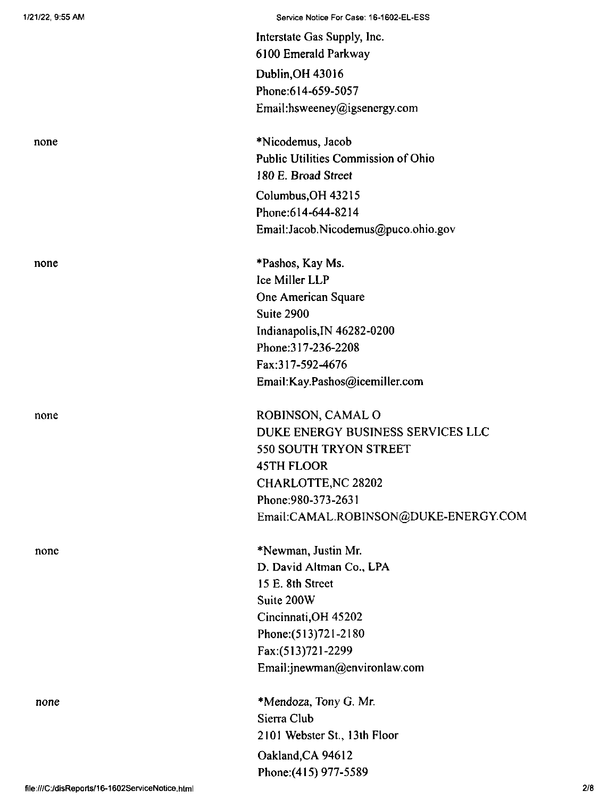|                                                 | Interstate Gas Supply, Inc.                |     |
|-------------------------------------------------|--------------------------------------------|-----|
|                                                 | 6100 Emerald Parkway                       |     |
|                                                 | Dublin, OH 43016                           |     |
|                                                 | Phone: 614-659-5057                        |     |
|                                                 | Email:hsweeney@igsenergy.com               |     |
| none                                            | *Nicodemus, Jacob                          |     |
|                                                 | <b>Public Utilities Commission of Ohio</b> |     |
|                                                 | 180 E. Broad Street                        |     |
|                                                 | Columbus, OH 43215                         |     |
|                                                 | Phone: 614-644-8214                        |     |
|                                                 | Email: Jacob. Nicodemus@puco.ohio.gov      |     |
| none                                            | *Pashos, Kay Ms.                           |     |
|                                                 | Ice Miller LLP                             |     |
|                                                 | One American Square                        |     |
|                                                 | Suite 2900                                 |     |
|                                                 | Indianapolis, IN 46282-0200                |     |
|                                                 | Phone: 317-236-2208                        |     |
|                                                 | Fax:317-592-4676                           |     |
|                                                 | Email:Kay.Pashos@icemiller.com             |     |
| none                                            | ROBINSON, CAMAL O                          |     |
|                                                 | DUKE ENERGY BUSINESS SERVICES LLC          |     |
|                                                 | 550 SOUTH TRYON STREET                     |     |
|                                                 | <b>45TH FLOOR</b>                          |     |
|                                                 | <b>CHARLOTTE, NC 28202</b>                 |     |
|                                                 | Phone: 980-373-2631                        |     |
|                                                 | Email:CAMAL.ROBINSON@DUKE-ENERGY.COM       |     |
| none                                            | *Newman, Justin Mr.                        |     |
|                                                 | D. David Altman Co., LPA                   |     |
|                                                 | 15 E. 8th Street                           |     |
|                                                 | Suite 200W                                 |     |
|                                                 | Cincinnati, OH 45202                       |     |
|                                                 | Phone: (513) 721-2180                      |     |
|                                                 | Fax:(513)721-2299                          |     |
|                                                 | Email:jnewman@environlaw.com               |     |
| none                                            | *Mendoza, Tony G. Mr.                      |     |
|                                                 | Sierra Club                                |     |
|                                                 | 2101 Webster St., 13th Floor               |     |
|                                                 | Oakland, CA 94612                          |     |
|                                                 | Phone: (415) 977-5589                      |     |
| file:///C:/disReports/16-1602ServiceNotice.html |                                            | 2'8 |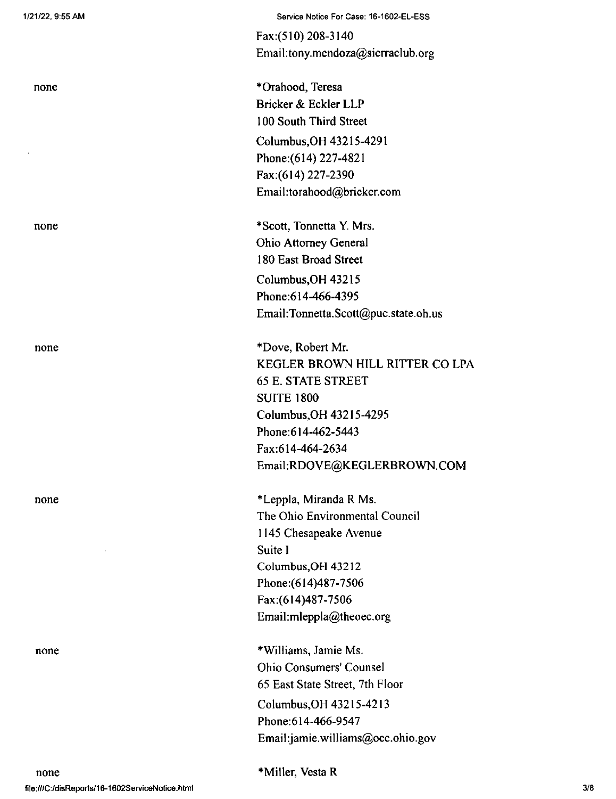| none |  |
|------|--|
|      |  |
|      |  |

none

none

none

Fax:(510) 208-3140 Email:tony.mendoza@sierraclub.org

\*Orahood, Teresa Bricker & Eckler LLP 100 South Third Street Columbus,OH 43215-4291 Phone:(614) 227-4821 Fax:(614) 227-2390 Email:torahood@bricker.com

Columbus,OH 43215 Phone:614-466-4395 Email:Tonnetta.Scott@puc.state.oh.us \*Scott, Tonnetta Y. Mrs. Ohio Attorney General 180 East Broad Street

\*Dove, Robert Mr. KEGLER BROWN HILL RITTER CO LPA 65 E. STATE STREET SUITE 1800 Columbus,OH 43215-4295 Phone:614-462-5443 Fax:614-464-2634 Email:RDOVE@KEGLERBROWN.COM

\*Leppla, Miranda R Ms. The Ohio Environmental Council 1145 Chesapeake Avenue Suite <sup>I</sup> Columbus,OH 43212 Phone:(614)487-7506 Fax:(614)487-7506 Email:mleppla@theoec.org

♦Williams, Jamie Ms. Ohio Consumers' Counsel 65 East State Street, 7th Floor Columbus,OH 43215-4213 Phone:614-466-9547 Email:jamie.williams@occ.ohio.gov

\*Miller, Vesta R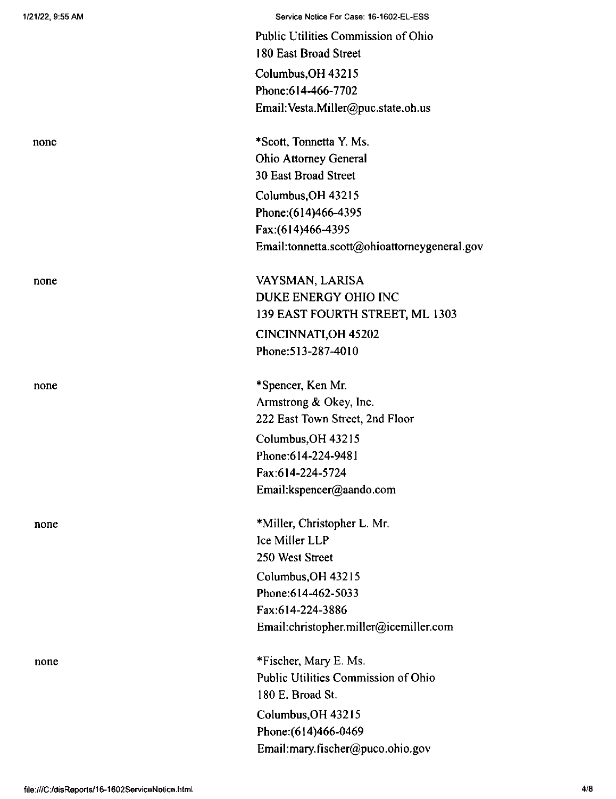| 1/21/22, 9:55 AM | Service Notice For Case: 16-1602-EL-ESS      |
|------------------|----------------------------------------------|
|                  | Public Utilities Commission of Ohio          |
|                  | 180 East Broad Street                        |
|                  | Columbus, OH 43215                           |
|                  | Phone: 614-466-7702                          |
|                  | Email: Vesta.Miller@puc.state.oh.us          |
|                  |                                              |
| none             | *Scott, Tonnetta Y. Ms.                      |
|                  | <b>Ohio Attorney General</b>                 |
|                  | <b>30 East Broad Street</b>                  |
|                  | Columbus, OH 43215                           |
|                  | Phone: (614) 466-4395                        |
|                  | Fax:(614)466-4395                            |
|                  | Email:tonnetta.scott@ohioattorneygeneral.gov |
| none             | VAYSMAN, LARISA                              |
|                  | DUKE ENERGY OHIO INC                         |
|                  | 139 EAST FOURTH STREET, ML 1303              |
|                  | CINCINNATI, OH 45202                         |
|                  | Phone: 513-287-4010                          |
| none             | *Spencer, Ken Mr.                            |
|                  | Armstrong & Okey, Inc.                       |
|                  | 222 East Town Street, 2nd Floor              |
|                  | Columbus, OH 43215                           |
|                  | Phone: 614-224-9481                          |
|                  | Fax:614-224-5724                             |
|                  | Email:kspencer@aando.com                     |
| none             | *Miller, Christopher L. Mr.                  |
|                  | Ice Miller LLP                               |
|                  | 250 West Street                              |
|                  | Columbus, OH 43215                           |
|                  | Phone: 614-462-5033                          |
|                  | Fax:614-224-3886                             |
|                  | Email:christopher.miller@icemiller.com       |
| none             | *Fischer, Mary E. Ms.                        |
|                  | Public Utilities Commission of Ohio          |
|                  | 180 E. Broad St.                             |
|                  | Columbus, OH 43215                           |
|                  | Phone: (614)466-0469                         |
|                  | Email:mary.fischer@puco.ohio.gov             |
|                  |                                              |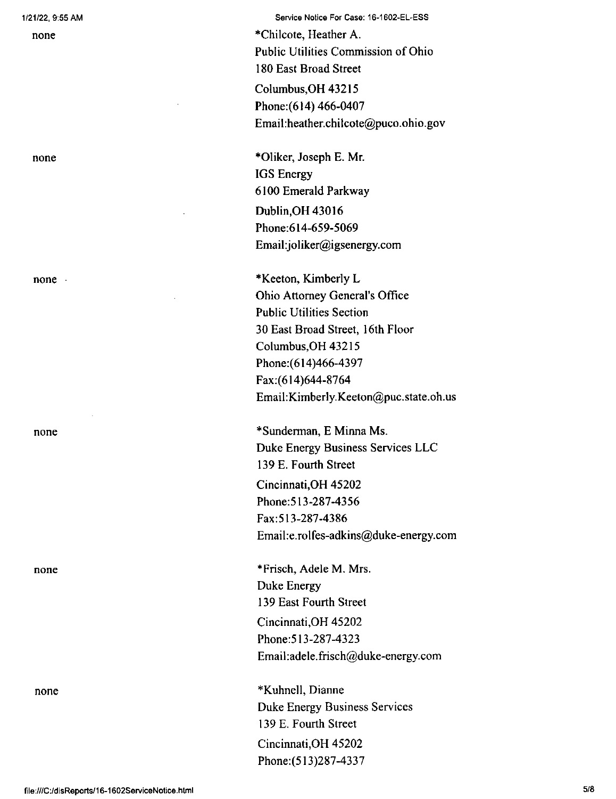none

none

none

none

none

Service Notice For Case: 16-1602-EL-ESS

\*Chilcote, Heather A. Public Utilities Commission of Ohio 180 East Broad Street Columbus,OH 43215 Phone:(614) 466-0407 Email:heather.chilcote@puco.ohio.gov

\*01iker, Joseph E. Mr. IGS Energy 6100 Emerald Parkway Dublin,OH 43016 Phone:614-659-5069 Email:joliker@igsenergy.com

\*Keeton, Kimberly L Ohio Attorney General's Office Public Utilities Section 30 East Broad Street, 16th Floor Columbus,OH 43215 Phone:(614)466-4397 Fax;(614)644-8764 Email:Kimberly.Keeton@puc.state.oh.us

\*Sunderman, E Minna Ms. Duke Energy Business Services LLC 139 E. Fourth Street Cincinnati,OH 45202 Phone:513-287-4356 Fax:513-287-4386 Email:e.rolfes-adkins@duke-energy.com

Cincinnati,OH 45202 Phone:513-287-4323 Email:adele.frisch@duke-energy.com \*Frisch, Adele M. Mrs. Duke Energy 139 East Fourth Street

♦Kuhnell, Dianne Duke Energy Business Services 139 E. Fourth Street Cincinnati,OH 45202 Phone:(513)287-4337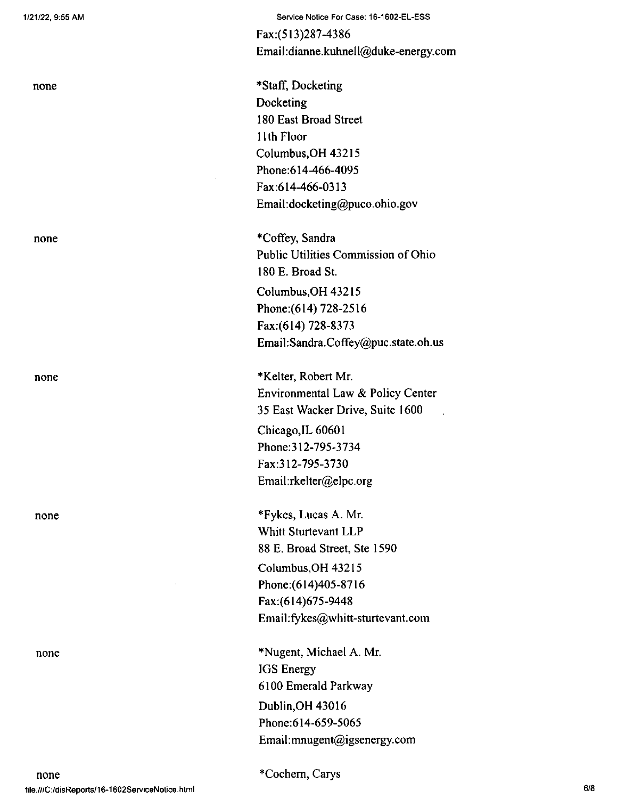| none | *Staff, Docketing<br>Docketing<br>180 East Broad Street<br>11th Floor<br>Columbus, OH 43215<br>Phone: 614-466-4095<br>Fax:614-466-0313<br>Email:docketing@puco.ohio.gov                |
|------|----------------------------------------------------------------------------------------------------------------------------------------------------------------------------------------|
| none | *Coffey, Sandra<br>Public Utilities Commission of Ohio<br>180 E. Broad St.<br>Columbus, OH 43215<br>Phone: (614) 728-2516<br>Fax:(614) 728-8373<br>Email:Sandra.Coffey@puc.state.oh.us |
| none | *Kelter, Robert Mr.<br>Environmental Law & Policy Center<br>35 East Wacker Drive, Suite 1600<br>Chicago, IL 60601<br>Phone: 312-795-3734<br>Fax:312-795-3730<br>Email:rkelter@elpc.org |
| none | *Fykes, Lucas A. Mr.<br>Whitt Sturtevant LLP<br>88 E. Broad Street, Ste 1590<br>Columbus, OH 43215<br>Phone: (614) 405-8716<br>Fax:(614)675-9448<br>Email:fykes@whitt-sturtevant.com   |
| none | *Nugent, Michael A. Mr.<br><b>IGS</b> Energy<br>6100 Emerald Parkway<br>Dublin, OH 43016<br>Phone:614-659-5065<br>Email:mnugent@igsenergy.com                                          |

Service Notice For Case: 16-1602-EL-ESS

Email:dianne.kuhnell@duke-energy.com

 $\frac{1}{2}$ 

Fax:(513)287-4386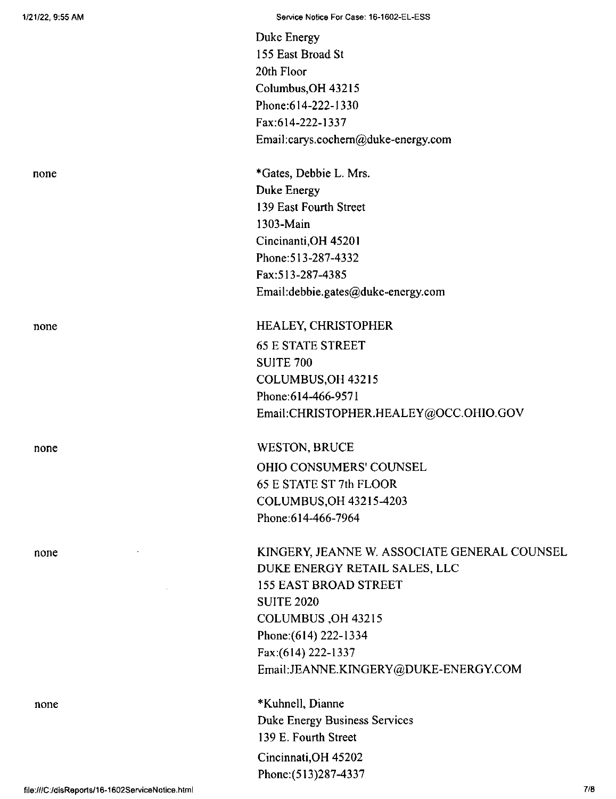| none |
|------|
|      |

none

none

none

Duke Energy 155 East Broad St 20th Floor Columbus,OH 43215 Phone:614-222-1330 Fax:614-222-1337 Email:carys.cochem@duke-energy.com

\*Gates, Debbie L. Mrs. Duke Energy 139 East Fourth Street 1303-Main Cincinanti,OH 45201 Phone:513-287-4332 Fax:513-287-4385 Email:debbie.gates@duke-energy.com

### HEALEY, CHRISTOPHER

65 E STATE STREET SUITE 700 COLUMBUS,OH 43215 Phone:614-466-9571 Email:CHRISTOPHER.HEALEY@OCC.OHIO.GOV

## WESTON, BRUCE

OHIO CONSUMERS' COUNSEL 65 E STATE ST 7th FLOOR COLUMBUS,OH 43215-4203 Phone:614-466-7964

KINGERY, JEANNE W. ASSOCIATE GENERAL COUNSEL DUKE ENERGY RETAIL SALES, LLC 155 EAST BROAD STREET SUITE 2020 COLUMBUS ,OH 43215 Phone:(614) 222-1334 Fax:(614) 222-1337 Email:JEANNE.KINGERY@DUKE-ENERGY.COM

♦Kuhnell, Dianne Duke Energy Business Services 139 E. Fourth Street Cincinnati,OH 45202 Phone:(513)287-4337